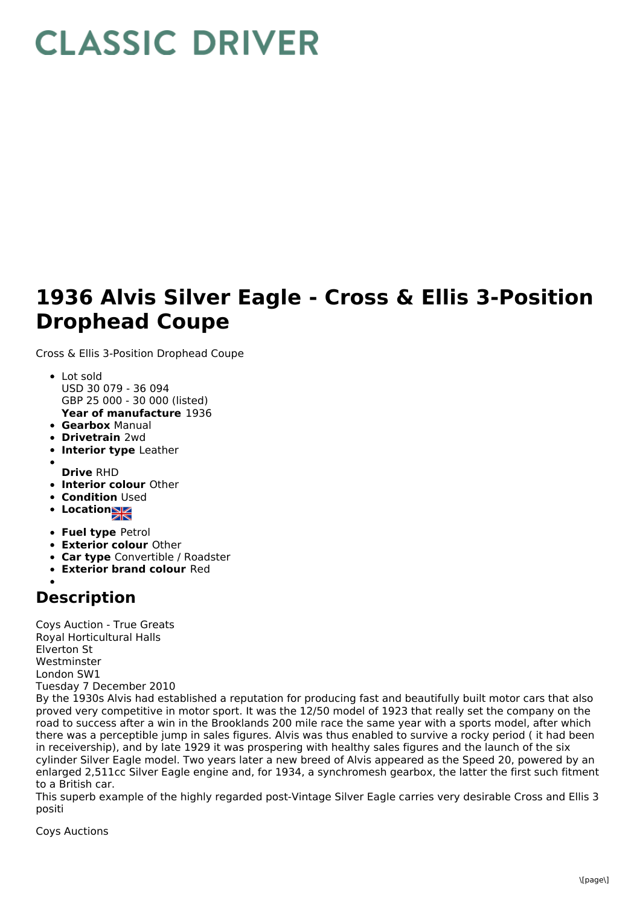## **CLASSIC DRIVER**

## **1936 Alvis Silver Eagle - Cross & Ellis 3-Position Drophead Coupe**

Cross & Ellis 3-Position Drophead Coupe

- Lot sold USD 30 079 - 36 094 GBP 25 000 - 30 000 (listed)
- **Year of manufacture** 1936
- **Gearbox** Manual
- **Drivetrain** 2wd
- **Interior type** Leather
- **Drive** RHD
- **Interior colour** Other
- **Condition Used**
- **Location**
- **Fuel type** Petrol
- **Exterior colour** Other
- **Car type** Convertible / Roadster
- **Exterior brand colour** Red

## **Description**

Coys Auction - True Greats Royal Horticultural Halls Elverton St Westminster London SW1 Tuesday 7 December 2010

By the 1930s Alvis had established a reputation for producing fast and beautifully built motor cars that also proved very competitive in motor sport. It was the 12/50 model of 1923 that really set the company on the road to success after a win in the Brooklands 200 mile race the same year with a sports model, after which there was a perceptible jump in sales figures. Alvis was thus enabled to survive a rocky period ( it had been in receivership), and by late 1929 it was prospering with healthy sales figures and the launch of the six cylinder Silver Eagle model. Two years later a new breed of Alvis appeared as the Speed 20, powered by an enlarged 2,511cc Silver Eagle engine and, for 1934, a synchromesh gearbox, the latter the first such fitment to a British car.

This superb example of the highly regarded post-Vintage Silver Eagle carries very desirable Cross and Ellis 3 positi

Coys Auctions